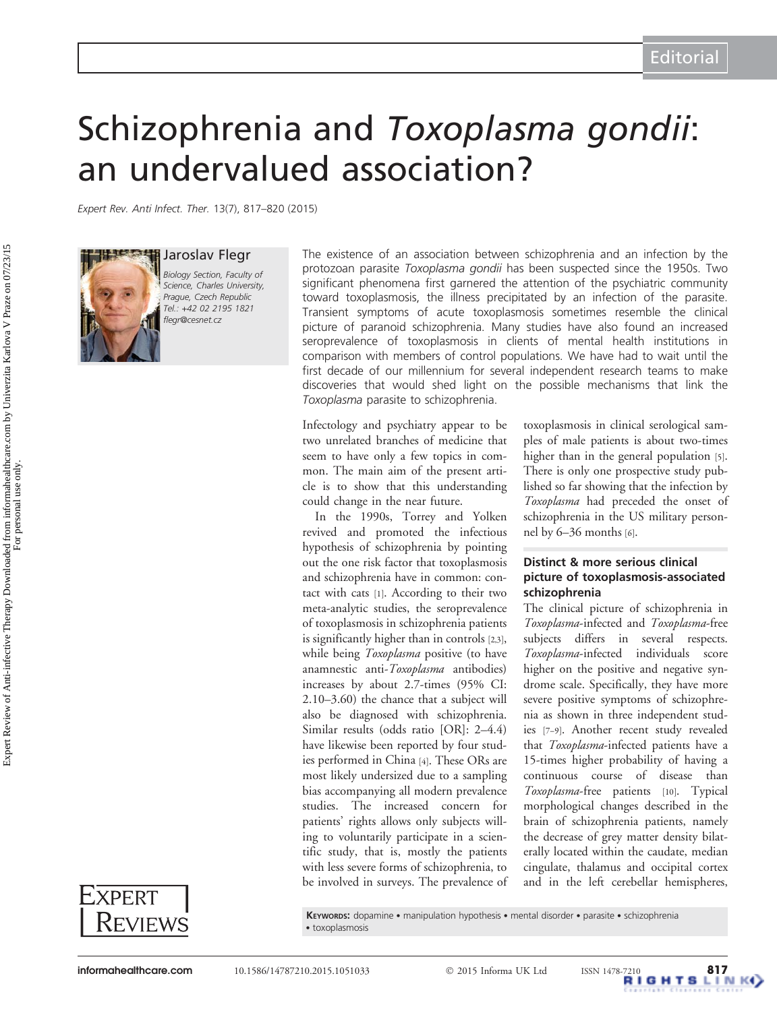# Schizophrenia and Toxoplasma gondii: an undervalued association?

Expert Rev. Anti Infect. Ther. 13(7), 817–820 (2015)



Jaroslav Flegr Biology Section, Faculty of Science, Charles University, Prague, Czech Republic Tel.: +42 02 2195 1821 flegr@cesnet.cz

The existence of an association between schizophrenia and an infection by the protozoan parasite Toxoplasma gondii has been suspected since the 1950s. Two significant phenomena first garnered the attention of the psychiatric community toward toxoplasmosis, the illness precipitated by an infection of the parasite. Transient symptoms of acute toxoplasmosis sometimes resemble the clinical picture of paranoid schizophrenia. Many studies have also found an increased seroprevalence of toxoplasmosis in clients of mental health institutions in comparison with members of control populations. We have had to wait until the first decade of our millennium for several independent research teams to make discoveries that would shed light on the possible mechanisms that link the Toxoplasma parasite to schizophrenia.

Infectology and psychiatry appear to be two unrelated branches of medicine that seem to have only a few topics in common. The main aim of the present article is to show that this understanding could change in the near future.

In the 1990s, Torrey and Yolken revived and promoted the infectious hypothesis of schizophrenia by pointing out the one risk factor that toxoplasmosis and schizophrenia have in common: contact with cats [[1\]](#page-2-0). According to their two meta-analytic studies, the seroprevalence of toxoplasmosis in schizophrenia patients is significantly higher than in controls [\[2](#page-2-0),[3\]](#page-2-0), while being Toxoplasma positive (to have anamnestic anti-Toxoplasma antibodies) increases by about 2.7-times (95% CI: 2.10–3.60) the chance that a subject will also be diagnosed with schizophrenia. Similar results (odds ratio [OR]: 2–4.4) have likewise been reported by four studies performed in China [[4](#page-2-0)]. These ORs are most likely undersized due to a sampling bias accompanying all modern prevalence studies. The increased concern for patients' rights allows only subjects willing to voluntarily participate in a scientific study, that is, mostly the patients with less severe forms of schizophrenia, to be involved in surveys. The prevalence of toxoplasmosis in clinical serological samples of male patients is about two-times higher than in the general population [\[5](#page-2-0)]. There is only one prospective study published so far showing that the infection by Toxoplasma had preceded the onset of schizophrenia in the US military personnel by 6–36 months [\[6\]](#page-2-0).

### Distinct & more serious clinical picture of toxoplasmosis-associated schizophrenia

The clinical picture of schizophrenia in Toxoplasma-infected and Toxoplasma-free subjects differs in several respects. Toxoplasma-infected individuals score higher on the positive and negative syndrome scale. Specifically, they have more severe positive symptoms of schizophrenia as shown in three independent studies [\[7](#page-2-0)–[9](#page-2-0)]. Another recent study revealed that Toxoplasma-infected patients have a 15-times higher probability of having a continuous course of disease than Toxoplasma-free patients [[10](#page-2-0)]. Typical morphological changes described in the brain of schizophrenia patients, namely the decrease of grey matter density bilaterally located within the caudate, median cingulate, thalamus and occipital cortex and in the left cerebellar hemispheres,

EXPERT **REVIEWS** 

KEYWORDS: dopamine . manipulation hypothesis . mental disorder . parasite . schizophrenia . toxoplasmosis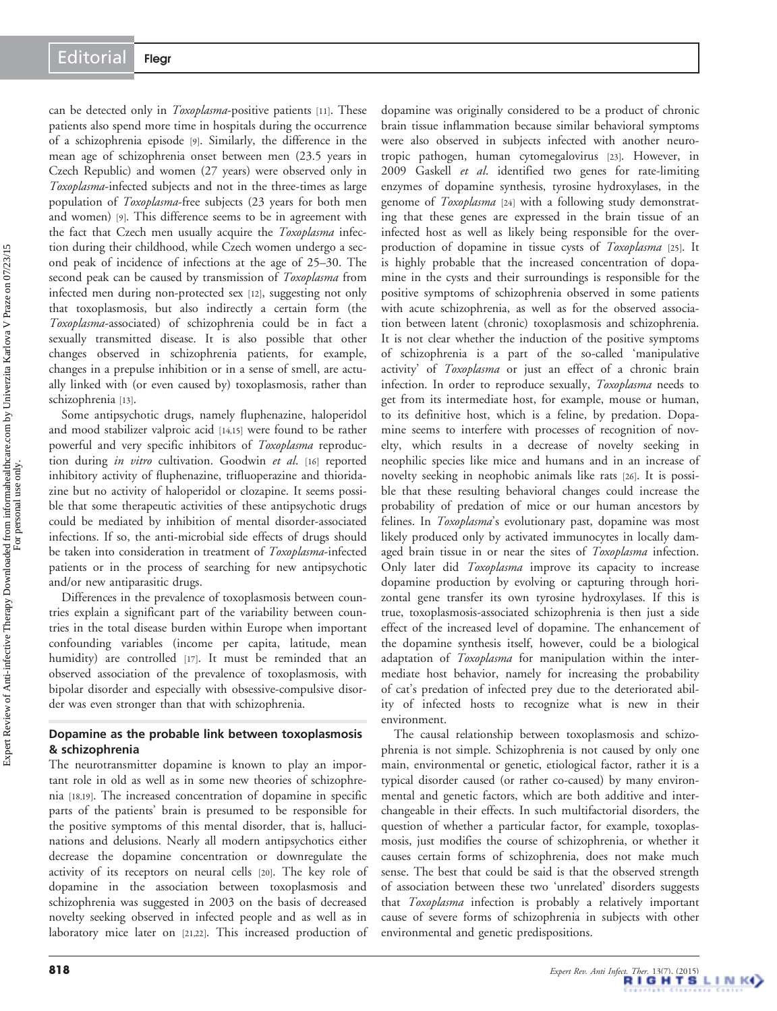can be detected only in *Toxoplasma*-positive patients [\[11\]](#page-2-0). These patients also spend more time in hospitals during the occurrence of a schizophrenia episode [\[9](#page-2-0)]. Similarly, the difference in the mean age of schizophrenia onset between men (23.5 years in Czech Republic) and women (27 years) were observed only in Toxoplasma-infected subjects and not in the three-times as large population of Toxoplasma-free subjects (23 years for both men and women) [\[9\]](#page-2-0). This difference seems to be in agreement with the fact that Czech men usually acquire the Toxoplasma infection during their childhood, while Czech women undergo a second peak of incidence of infections at the age of 25–30. The second peak can be caused by transmission of Toxoplasma from infected men during non-protected sex [[12](#page-2-0)], suggesting not only that toxoplasmosis, but also indirectly a certain form (the Toxoplasma-associated) of schizophrenia could be in fact a sexually transmitted disease. It is also possible that other changes observed in schizophrenia patients, for example, changes in a prepulse inhibition or in a sense of smell, are actually linked with (or even caused by) toxoplasmosis, rather than schizophrenia [[13](#page-2-0)].

Some antipsychotic drugs, namely fluphenazine, haloperidol and mood stabilizer valproic acid [[14,15](#page-2-0)] were found to be rather powerful and very specific inhibitors of Toxoplasma reproduc-tion during in vitro cultivation. Goodwin et al. [[16](#page-2-0)] reported inhibitory activity of fluphenazine, trifluoperazine and thioridazine but no activity of haloperidol or clozapine. It seems possible that some therapeutic activities of these antipsychotic drugs could be mediated by inhibition of mental disorder-associated infections. If so, the anti-microbial side effects of drugs should be taken into consideration in treatment of Toxoplasma-infected patients or in the process of searching for new antipsychotic and/or new antiparasitic drugs.

Differences in the prevalence of toxoplasmosis between countries explain a significant part of the variability between countries in the total disease burden within Europe when important confounding variables (income per capita, latitude, mean humidity) are controlled [\[17](#page-2-0)]. It must be reminded that an observed association of the prevalence of toxoplasmosis, with bipolar disorder and especially with obsessive-compulsive disorder was even stronger than that with schizophrenia.

#### Dopamine as the probable link between toxoplasmosis & schizophrenia

The neurotransmitter dopamine is known to play an important role in old as well as in some new theories of schizophrenia [\[18,19\]](#page-2-0). The increased concentration of dopamine in specific parts of the patients' brain is presumed to be responsible for the positive symptoms of this mental disorder, that is, hallucinations and delusions. Nearly all modern antipsychotics either decrease the dopamine concentration or downregulate the activity of its receptors on neural cells [[20\]](#page-3-0). The key role of dopamine in the association between toxoplasmosis and schizophrenia was suggested in 2003 on the basis of decreased novelty seeking observed in infected people and as well as in laboratory mice later on [\[21,22\]](#page-3-0). This increased production of dopamine was originally considered to be a product of chronic brain tissue inflammation because similar behavioral symptoms were also observed in subjects infected with another neurotropic pathogen, human cytomegalovirus [\[23](#page-3-0)]. However, in 2009 Gaskell et al. identified two genes for rate-limiting enzymes of dopamine synthesis, tyrosine hydroxylases, in the genome of *Toxoplasma* [\[24\]](#page-3-0) with a following study demonstrating that these genes are expressed in the brain tissue of an infected host as well as likely being responsible for the over-production of dopamine in tissue cysts of Toxoplasma [\[25\]](#page-3-0). It is highly probable that the increased concentration of dopamine in the cysts and their surroundings is responsible for the positive symptoms of schizophrenia observed in some patients with acute schizophrenia, as well as for the observed association between latent (chronic) toxoplasmosis and schizophrenia. It is not clear whether the induction of the positive symptoms of schizophrenia is a part of the so-called 'manipulative activity' of Toxoplasma or just an effect of a chronic brain infection. In order to reproduce sexually, Toxoplasma needs to get from its intermediate host, for example, mouse or human, to its definitive host, which is a feline, by predation. Dopamine seems to interfere with processes of recognition of novelty, which results in a decrease of novelty seeking in neophilic species like mice and humans and in an increase of novelty seeking in neophobic animals like rats [[26](#page-3-0)]. It is possible that these resulting behavioral changes could increase the probability of predation of mice or our human ancestors by felines. In Toxoplasma's evolutionary past, dopamine was most likely produced only by activated immunocytes in locally damaged brain tissue in or near the sites of Toxoplasma infection. Only later did *Toxoplasma* improve its capacity to increase dopamine production by evolving or capturing through horizontal gene transfer its own tyrosine hydroxylases. If this is true, toxoplasmosis-associated schizophrenia is then just a side effect of the increased level of dopamine. The enhancement of the dopamine synthesis itself, however, could be a biological adaptation of Toxoplasma for manipulation within the intermediate host behavior, namely for increasing the probability of cat's predation of infected prey due to the deteriorated ability of infected hosts to recognize what is new in their environment.

The causal relationship between toxoplasmosis and schizophrenia is not simple. Schizophrenia is not caused by only one main, environmental or genetic, etiological factor, rather it is a typical disorder caused (or rather co-caused) by many environmental and genetic factors, which are both additive and interchangeable in their effects. In such multifactorial disorders, the question of whether a particular factor, for example, toxoplasmosis, just modifies the course of schizophrenia, or whether it causes certain forms of schizophrenia, does not make much sense. The best that could be said is that the observed strength of association between these two 'unrelated' disorders suggests that Toxoplasma infection is probably a relatively important cause of severe forms of schizophrenia in subjects with other environmental and genetic predispositions.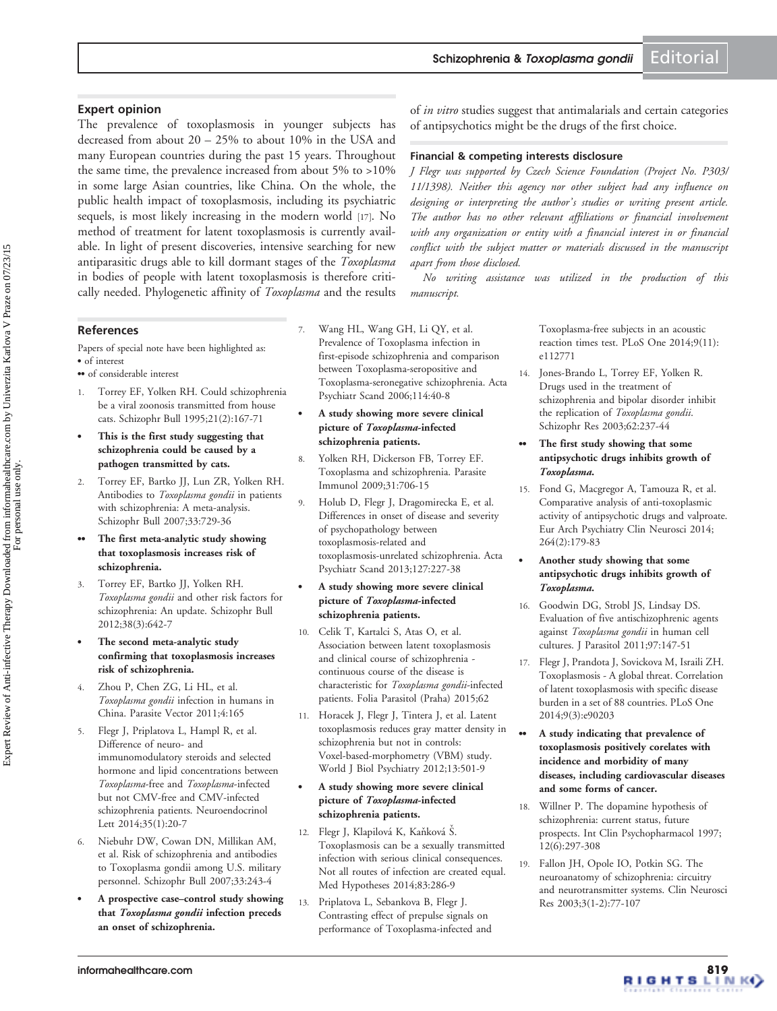# <span id="page-2-0"></span>Expert opinion

The prevalence of toxoplasmosis in younger subjects has decreased from about 20 – 25% to about 10% in the USA and many European countries during the past 15 years. Throughout the same time, the prevalence increased from about 5% to >10% in some large Asian countries, like China. On the whole, the public health impact of toxoplasmosis, including its psychiatric sequels, is most likely increasing in the modern world [17]. No method of treatment for latent toxoplasmosis is currently available. In light of present discoveries, intensive searching for new antiparasitic drugs able to kill dormant stages of the *Toxoplasma* in bodies of people with latent toxoplasmosis is therefore critically needed. Phylogenetic affinity of Toxoplasma and the results

#### **References**

Papers of special note have been highlighted as: . of interest

- of considerable interest
- 1. Torrey EF, Yolken RH. [Could schizophrenia](http://www.ncbi.nlm.nih.gov/pubmed/7631163?dopt=Abstract) [be a viral zoonosis transmitted from house](http://www.ncbi.nlm.nih.gov/pubmed/7631163?dopt=Abstract) [cats.](http://www.ncbi.nlm.nih.gov/pubmed/7631163?dopt=Abstract) Schizophr Bull 1995;21(2):167-71
- . This is the first study suggesting that schizophrenia could be caused by a pathogen transmitted by cats.
- 2. Torrey EF, Bartko JJ, Lun ZR, Yolken RH. Antibodies to [Toxoplasma gondii](http://www.ncbi.nlm.nih.gov/pubmed/17085743?dopt=Abstract) in patients [with schizophrenia: A meta-analysis](http://www.ncbi.nlm.nih.gov/pubmed/17085743?dopt=Abstract). Schizophr Bull 2007;33:729-36
- The first meta-analytic study showing that toxoplasmosis increases risk of schizophrenia.
- 3. Torrey EF, Bartko JJ, Yolken RH. Toxoplasma gondii [and other risk factors for](http://www.ncbi.nlm.nih.gov/pubmed/22446566?dopt=Abstract) [schizophrenia: An update](http://www.ncbi.nlm.nih.gov/pubmed/22446566?dopt=Abstract). Schizophr Bull 2012;38(3):642-7
- . The second meta-analytic study confirming that toxoplasmosis increases risk of schizophrenia.
- 4. Zhou P, Chen ZG, Li HL, et al. Toxoplasma gondii [infection in humans in](http://www.ncbi.nlm.nih.gov/pubmed/21864327?dopt=Abstract) [China](http://www.ncbi.nlm.nih.gov/pubmed/21864327?dopt=Abstract). Parasite Vector 2011;4:165
- 5. Flegr J, Priplatova L, Hampl R, et al. Difference of neuro- and immunomodulatory steroids and selected hormone and lipid concentrations between Toxoplasma-free and Toxoplasma-infected but not CMV-free and CMV-infected schizophrenia patients. Neuroendocrinol Lett 2014;35(1):20-7
- 6. Niebuhr DW, Cowan DN, Millikan AM, et al. Risk of schizophrenia and antibodies to Toxoplasma gondii among U.S. military personnel. Schizophr Bull 2007;33:243-4
- . A prospective case–control study showing that Toxoplasma gondii infection preceds an onset of schizophrenia.
- Wang HL, Wang GH, Li QY, et al. [Prevalence of Toxoplasma infection in](http://www.ncbi.nlm.nih.gov/pubmed/16774660?dopt=Abstract) [first-episode schizophrenia and comparison](http://www.ncbi.nlm.nih.gov/pubmed/16774660?dopt=Abstract) [between Toxoplasma-seropositive and](http://www.ncbi.nlm.nih.gov/pubmed/16774660?dopt=Abstract) [Toxoplasma-seronegative schizophrenia.](http://www.ncbi.nlm.nih.gov/pubmed/16774660?dopt=Abstract) Acta Psychiatr Scand 2006;114:40-8
- . A study showing more severe clinical picture of Toxoplasma-infected schizophrenia patients.
- 8. Yolken RH, Dickerson FB, Torrey EF. [Toxoplasma and schizophrenia.](http://www.ncbi.nlm.nih.gov/pubmed/19825110?dopt=Abstract) Parasite Immunol 2009;31:706-15
- 9. Holub D, Flegr J, Dragomirecka E, et al. [Differences in onset of disease and severity](http://www.ncbi.nlm.nih.gov/pubmed/23126494?dopt=Abstract) [of psychopathology between](http://www.ncbi.nlm.nih.gov/pubmed/23126494?dopt=Abstract) [toxoplasmosis-related and](http://www.ncbi.nlm.nih.gov/pubmed/23126494?dopt=Abstract) [toxoplasmosis-unrelated schizophrenia.](http://www.ncbi.nlm.nih.gov/pubmed/23126494?dopt=Abstract) Acta Psychiatr Scand 2013;127:227-38
- . A study showing more severe clinical picture of Toxoplasma-infected schizophrenia patients.
- 10. Celik T, Kartalci S, Atas O, et al. Association between latent toxoplasmosis and clinical course of schizophrenia continuous course of the disease is characteristic for Toxoplasma gondii-infected patients. Folia Parasitol (Praha) 2015;62
- 11. Horacek J, Flegr J, Tintera J, et al. [Latent](http://www.ncbi.nlm.nih.gov/pubmed/21599563?dopt=Abstract) [toxoplasmosis reduces gray matter density in](http://www.ncbi.nlm.nih.gov/pubmed/21599563?dopt=Abstract) [schizophrenia but not in controls:](http://www.ncbi.nlm.nih.gov/pubmed/21599563?dopt=Abstract) [Voxel-based-morphometry \(VBM\) study.](http://www.ncbi.nlm.nih.gov/pubmed/21599563?dopt=Abstract) World J Biol Psychiatry 2012;13:501-9

#### . A study showing more severe clinical picture of Toxoplasma-infected schizophrenia patients.

- 12. Flegr J, Klapilová K, Kaňková Š. [Toxoplasmosis can be a sexually transmitted](http://www.ncbi.nlm.nih.gov/pubmed/24986706?dopt=Abstract) [infection with serious clinical consequences.](http://www.ncbi.nlm.nih.gov/pubmed/24986706?dopt=Abstract) [Not all routes of infection are created equal.](http://www.ncbi.nlm.nih.gov/pubmed/24986706?dopt=Abstract) Med Hypotheses 2014;83:286-9
- Priplatova L, Sebankova B, Flegr J. [Contrasting effect of prepulse signals on](http://www.ncbi.nlm.nih.gov/pubmed/25384036?dopt=Abstract) [performance of Toxoplasma-infected and](http://www.ncbi.nlm.nih.gov/pubmed/25384036?dopt=Abstract)

of *in vitro* studies suggest that antimalarials and certain categories of antipsychotics might be the drugs of the first choice.

## Financial & competing interests disclosure

J Flegr was supported by Czech Science Foundation (Project No. P303/ 11/1398). Neither this agency nor other subject had any influence on designing or interpreting the author's studies or writing present article. The author has no other relevant affiliations or financial involvement with any organization or entity with a financial interest in or financial conflict with the subject matter or materials discussed in the manuscript apart from those disclosed.

No writing assistance was utilized in the production of this manuscript.

> [Toxoplasma-free subjects in an acoustic](http://www.ncbi.nlm.nih.gov/pubmed/25384036?dopt=Abstract) [reaction times test.](http://www.ncbi.nlm.nih.gov/pubmed/25384036?dopt=Abstract) PLoS One 2014;9(11): e112771

14. Jones-Brando L, Torrey EF, Yolken R. [Drugs used in the treatment of](http://www.ncbi.nlm.nih.gov/pubmed/12837520?dopt=Abstract) [schizophrenia and bipolar disorder inhibit](http://www.ncbi.nlm.nih.gov/pubmed/12837520?dopt=Abstract) the replication of [Toxoplasma gondii](http://www.ncbi.nlm.nih.gov/pubmed/12837520?dopt=Abstract). Schizophr Res 2003;62:237-44

#### The first study showing that some antipsychotic drugs inhibits growth of Toxoplasma.

15. Fond G, Macgregor A, Tamouza R, et al. [Comparative analysis of anti-toxoplasmic](http://www.ncbi.nlm.nih.gov/pubmed/23771405?dopt=Abstract) [activity of antipsychotic drugs and valproate.](http://www.ncbi.nlm.nih.gov/pubmed/23771405?dopt=Abstract) Eur Arch Psychiatry Clin Neurosci 2014; 264(2):179-83

#### . Another study showing that some antipsychotic drugs inhibits growth of Toxoplasma.

- 16. Goodwin DG, Strobl JS, Lindsay DS. [Evaluation of five antischizophrenic agents](http://www.ncbi.nlm.nih.gov/pubmed/21348624?dopt=Abstract) against [Toxoplasma gondii](http://www.ncbi.nlm.nih.gov/pubmed/21348624?dopt=Abstract) in human cell [cultures](http://www.ncbi.nlm.nih.gov/pubmed/21348624?dopt=Abstract). J Parasitol 2011;97:147-51
- 17. Flegr J, Prandota J, Sovickova M, Israili ZH. [Toxoplasmosis - A global threat. Correlation](http://www.ncbi.nlm.nih.gov/pubmed/24662942?dopt=Abstract) [of latent toxoplasmosis with specific disease](http://www.ncbi.nlm.nih.gov/pubmed/24662942?dopt=Abstract) [burden in a set of 88 countries.](http://www.ncbi.nlm.nih.gov/pubmed/24662942?dopt=Abstract) PLoS One 2014;9(3):e90203
- .. A study indicating that prevalence of toxoplasmosis positively corelates with incidence and morbidity of many diseases, including cardiovascular diseases and some forms of cancer.
- 18. Willner P. [The dopamine hypothesis of](http://www.ncbi.nlm.nih.gov/pubmed/9547131?dopt=Abstract) [schizophrenia: current status, future](http://www.ncbi.nlm.nih.gov/pubmed/9547131?dopt=Abstract) [prospects.](http://www.ncbi.nlm.nih.gov/pubmed/9547131?dopt=Abstract) Int Clin Psychopharmacol 1997; 12(6):297-308
- 19. Fallon JH, Opole IO, Potkin SG. The neuroanatomy of schizophrenia: circuitry and neurotransmitter systems. Clin Neurosci Res 2003;3(1-2):77-107